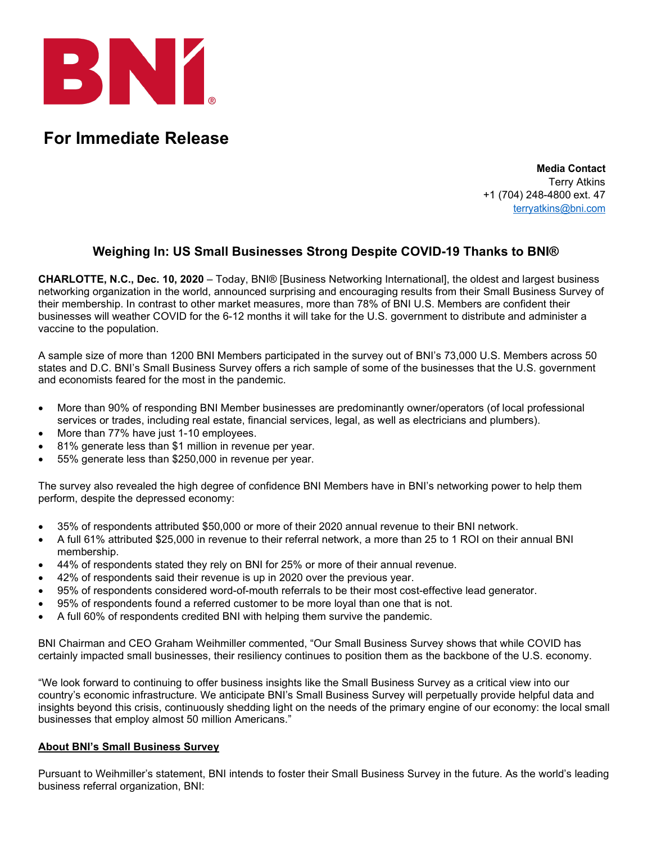

## **For Immediate Release**

**Media Contact** Terry Atkins +1 (704) 248-4800 ext. 47 [terryatkins@bni.com](mailto:brianna@bni.com)

## **Weighing In: US Small Businesses Strong Despite COVID-19 Thanks to BNI®**

**CHARLOTTE, N.C., Dec. 10, 2020** – Today, BNI® [Business Networking International], the oldest and largest business networking organization in the world, announced surprising and encouraging results from their Small Business Survey of their membership. In contrast to other market measures, more than 78% of BNI U.S. Members are confident their businesses will weather COVID for the 6-12 months it will take for the U.S. government to distribute and administer a vaccine to the population.

A sample size of more than 1200 BNI Members participated in the survey out of BNI's 73,000 U.S. Members across 50 states and D.C. BNI's Small Business Survey offers a rich sample of some of the businesses that the U.S. government and economists feared for the most in the pandemic.

- More than 90% of responding BNI Member businesses are predominantly owner/operators (of local professional services or trades, including real estate, financial services, legal, as well as electricians and plumbers).
- More than 77% have just 1-10 employees.
- 81% generate less than \$1 million in revenue per year.
- 55% generate less than \$250,000 in revenue per year.

The survey also revealed the high degree of confidence BNI Members have in BNI's networking power to help them perform, despite the depressed economy:

- 35% of respondents attributed \$50,000 or more of their 2020 annual revenue to their BNI network.
- A full 61% attributed \$25,000 in revenue to their referral network, a more than 25 to 1 ROI on their annual BNI membership.
- 44% of respondents stated they rely on BNI for 25% or more of their annual revenue.
- 42% of respondents said their revenue is up in 2020 over the previous year.
- 95% of respondents considered word-of-mouth referrals to be their most cost-effective lead generator.
- 95% of respondents found a referred customer to be more loyal than one that is not.
- A full 60% of respondents credited BNI with helping them survive the pandemic.

BNI Chairman and CEO Graham Weihmiller commented, "Our Small Business Survey shows that while COVID has certainly impacted small businesses, their resiliency continues to position them as the backbone of the U.S. economy.

"We look forward to continuing to offer business insights like the Small Business Survey as a critical view into our country's economic infrastructure. We anticipate BNI's Small Business Survey will perpetually provide helpful data and insights beyond this crisis, continuously shedding light on the needs of the primary engine of our economy: the local small businesses that employ almost 50 million Americans."

## **About BNI's Small Business Survey**

Pursuant to Weihmiller's statement, BNI intends to foster their Small Business Survey in the future. As the world's leading business referral organization, BNI: